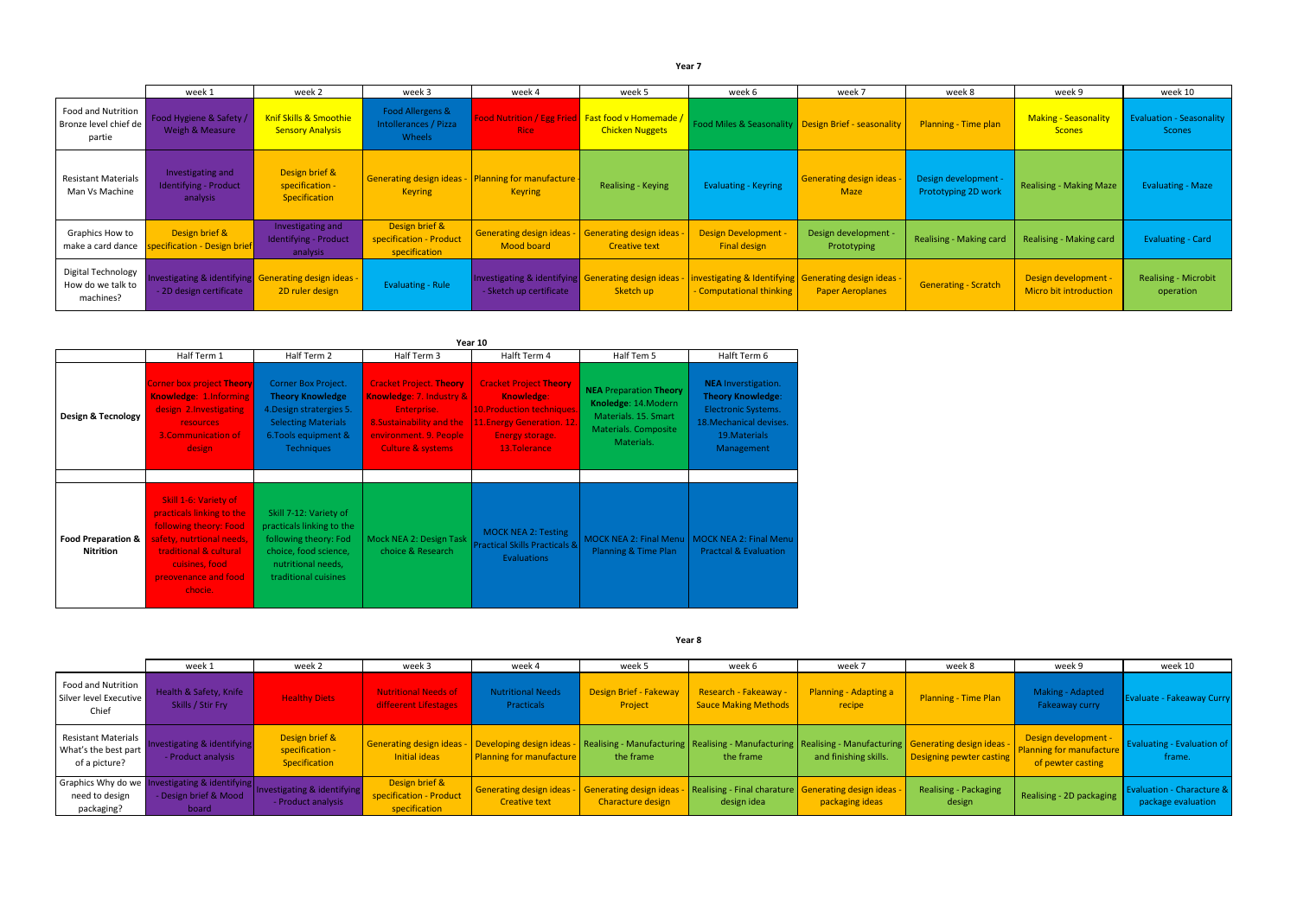|                                                       | week 1                                                 | week 2                                                                  | week 3                                                         | week 4                                                                         | week 5                                                                             | week 6                                             | week 7                                                                           | week 8                                      | week 9                                         | week 10                                          |
|-------------------------------------------------------|--------------------------------------------------------|-------------------------------------------------------------------------|----------------------------------------------------------------|--------------------------------------------------------------------------------|------------------------------------------------------------------------------------|----------------------------------------------------|----------------------------------------------------------------------------------|---------------------------------------------|------------------------------------------------|--------------------------------------------------|
| Food and Nutrition<br>Bronze level chief de<br>partie | Food Hygiene & Safety<br>Weigh & Measure               | Knif Skills & Smoothie<br><b>Sensory Analysis</b>                       | <b>Food Allergens &amp;</b><br>Intollerances / Pizza<br>Wheels | Rice                                                                           | Food Nutrition / Egg Fried <b>Fast food v Homemade /</b><br><b>Chicken Nuggets</b> |                                                    | Food Miles & Seasonality   Design Brief - seasonality                            | <b>Planning - Time plan</b>                 | <b>Making - Seasonality</b><br><b>Scones</b>   | <b>Evaluation - Seasonality</b><br><b>Scones</b> |
| Resistant Materials<br>Man Vs Machine                 | Investigating and<br>Identifying - Product<br>analysis | Design brief &<br>specification -<br>Specification                      | Generating design ideas<br><b>Keyring</b>                      | Planning for manufacture -<br><b>Keyring</b>                                   | Realising - Keying                                                                 | <b>Evaluating - Keyring</b>                        | Generating design ideas -<br><b>Maze</b>                                         | Design development -<br>Prototyping 2D work | <b>Realising - Making Maze</b>                 | <b>Evaluating - Maze</b>                         |
| Graphics How to<br>make a card dance                  | Design brief &<br>ecification - Design brief           | Investigating and<br>Identifying - Product<br>analysis                  | Design brief &<br>specification - Product<br>specification     | <b>Generating design ideas</b><br>Mood board                                   | <b>Generating design ideas</b><br>Creative text                                    | <b>Design Development -</b><br><b>Final design</b> | Design development -<br>Prototyping                                              | <b>Realising - Making card</b>              | Realising - Making card                        | <b>Evaluating - Card</b>                         |
| Digital Technology<br>How do we talk to<br>machines?  | - 2D design certificate                                | nvestigating & identifying Generating design ideas -<br>2D ruler design | <b>Evaluating - Rule</b>                                       | Investigating & identifying Generating design ideas<br>- Sketch up certificate | Sketch up                                                                          | - Computational thinking                           | investigating & Identifying Generating design ideas -<br><b>Paper Aeroplanes</b> | <b>Generating - Scratch</b>                 | Design development -<br>Micro bit introduction | <b>Realising - Microbit</b><br>operation         |

|                                                   | Year 10                                                                                                                                                                                  |                                                                                                                                                       |                                                                                                                                                                  |                                                                                                                                                  |                                                                                                                     |                                                                                                                                                |  |  |  |  |  |  |
|---------------------------------------------------|------------------------------------------------------------------------------------------------------------------------------------------------------------------------------------------|-------------------------------------------------------------------------------------------------------------------------------------------------------|------------------------------------------------------------------------------------------------------------------------------------------------------------------|--------------------------------------------------------------------------------------------------------------------------------------------------|---------------------------------------------------------------------------------------------------------------------|------------------------------------------------------------------------------------------------------------------------------------------------|--|--|--|--|--|--|
|                                                   | Half Term 1                                                                                                                                                                              | Half Term 2                                                                                                                                           | Half Term 3                                                                                                                                                      | Halft Term 4                                                                                                                                     | Half Tem 5                                                                                                          | Halft Term 6                                                                                                                                   |  |  |  |  |  |  |
| Design & Tecnology                                | <b>Corner box project Theory</b><br>Knowledge: 1.Informing<br>design 2. Investigating<br>resources<br>3. Communication of<br>design                                                      | Corner Box Project.<br><b>Theory Knowledge</b><br>4. Design stratergies 5.<br><b>Selecting Materials</b><br>6. Tools equipment &<br><b>Techniques</b> | <b>Cracket Project. Theory</b><br>Knowledge: 7. Industry &<br>Enterprise.<br>8. Sustainability and the<br>environment. 9. People<br><b>Culture &amp; systems</b> | <b>Cracket Project Theory</b><br>Knowledge:<br><b>10.Production techniques.</b><br>11. Energy Generation. 12.<br>Energy storage.<br>13.Tolerance | <b>NEA Preparation Theory</b><br>Knoledge: 14. Modern<br>Materials. 15. Smart<br>Materials. Composite<br>Materials. | <b>NEA</b> Inverstigation.<br><b>Theory Knowledge:</b><br><b>Electronic Systems.</b><br>18. Mechanical devises.<br>19. Materials<br>Management |  |  |  |  |  |  |
|                                                   |                                                                                                                                                                                          |                                                                                                                                                       |                                                                                                                                                                  |                                                                                                                                                  |                                                                                                                     |                                                                                                                                                |  |  |  |  |  |  |
| <b>Food Preparation &amp;</b><br><b>Nitrition</b> | Skill 1-6: Variety of<br>practicals linking to the<br>following theory: Food<br>safety, nutrtional needs,<br>traditional & cultural<br>cuisines, food<br>preovenance and food<br>chocie. | Skill 7-12: Variety of<br>practicals linking to the<br>following theory: Fod<br>choice, food science,<br>nutritional needs,<br>traditional cuisines   | Mock NEA 2: Design Task<br>choice & Research                                                                                                                     | <b>MOCK NEA 2: Testing</b><br><b>Practical Skills Practicals &amp;</b><br><b>Evaluations</b>                                                     | <b>MOCK NEA 2: Final Menu</b><br>Planning & Time Plan                                                               | <b>MOCK NEA 2: Final Menu</b><br><b>Practcal &amp; Evaluation</b>                                                                              |  |  |  |  |  |  |

|                                                                     | week 1                                                                         | week 2                                             | week 3                                                                 | week 4                                                   | week 5                                       | week 6                                                      | week 7                                                                                                                                 | week 8                          | week 9                                                                | week 10                                         |
|---------------------------------------------------------------------|--------------------------------------------------------------------------------|----------------------------------------------------|------------------------------------------------------------------------|----------------------------------------------------------|----------------------------------------------|-------------------------------------------------------------|----------------------------------------------------------------------------------------------------------------------------------------|---------------------------------|-----------------------------------------------------------------------|-------------------------------------------------|
| Food and Nutrition<br>Silver level Executive<br>Chief               | Health & Safety, Knife<br>Skills / Stir Fry                                    | <b>Healthy Diets</b>                               | <b>Nutritional Needs of</b><br>diffeerent Lifestages                   | <b>Nutritional Needs</b><br><b>Practicals</b>            | Design Brief - Fakeway<br>Project            | <b>Research - Fakeaway -</b><br><b>Sauce Making Methods</b> | <b>Planning - Adapting a</b><br>recipe                                                                                                 | <b>Planning - Time Plan</b>     | Making - Adapted<br>Fakeaway curry                                    | <b>Evaluate - Fakeaway Curry</b>                |
| <b>Resistant Materials</b><br>What's the best part<br>of a picture? | nvestigating & identifying<br>- Product analysis                               | Design brief &<br>specification -<br>Specification | Generating design ideas -   Developing design ideas -<br>Initial ideas | Planning for manufacture                                 | the frame                                    | the frame                                                   | Realising - Manufacturing   Realising - Manufacturing   Realising - Manufacturing   Generating design ideas -<br>and finishing skills. | Designing pewter casting        | Design development -<br>Planning for manufacture<br>of pewter casting | <b>Evaluating - Evaluation of</b><br>frame.     |
| need to design<br>packaging?                                        | Graphics Why do we Investigating & identifying<br>Design brief & Mood<br>board | Investigating & identifying<br>- Product analysis  | Design brief &<br>specification - Product<br>specification             | <b>Generating design ideas -</b><br><b>Creative text</b> | Generating design ideas<br>Characture design | design idea                                                 | Realising - Final charature   Generating design ideas -<br>packaging ideas                                                             | Realising - Packaging<br>design | Realising - 2D packaging                                              | Evaluation - Characture &<br>package evaluation |

**Year 7**

## **Year 8**